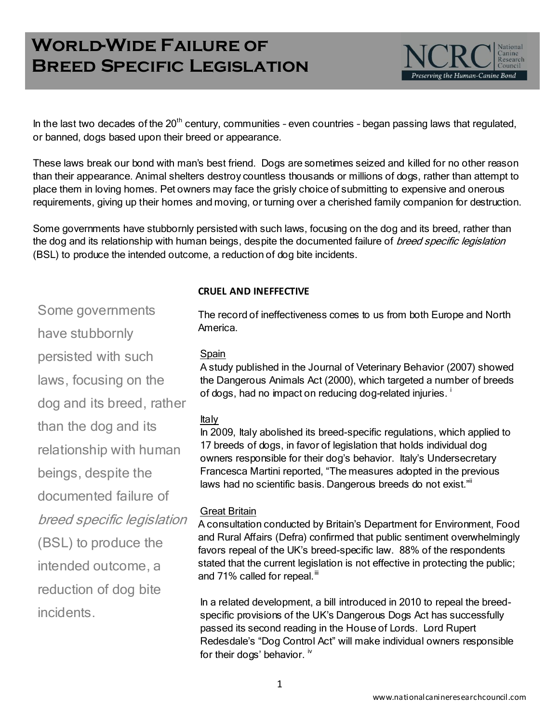# **World-Wide Failure of Breed Specific Legislation**



In the last two decades of the  $20<sup>th</sup>$  century, communities - even countries - began passing laws that regulated, or banned, dogs based upon their breed or appearance.

These laws break our bond with man's best friend. Dogs are sometimes seized and killed for no other reason than their appearance. Animal shelters destroy countless thousands or millions of dogs, rather than attempt to place them in loving homes. Pet owners may face the grisly choice of submitting to expensive and onerous requirements, giving up their homes and moving, or turning over a cherished family companion for destruction.

Some governments have stubbornly persisted with such laws, focusing on the dog and its breed, rather than the dog and its relationship with human beings, despite the documented failure of *breed specific legislation* (BSL) to produce the intended outcome, a reduction of dog bite incidents.

#### **CRUEL AND INEFFECTIVE**

Some governments have stubbornly

persisted with such

laws, focusing on the

dog and its breed, rather than the dog and its

relationship with human

beings, despite the

documented failure of

breed specific legislation

(BSL) to produce the

intended outcome, a

reduction of dog bite incidents.

The record of ineffectiveness comes to us from both Europe and North America.

## Spain

A study published in the Journal of Veterinary Behavior (2007) showed the Dangerous Animals Act (2000), which targeted a number of breeds of dogs, had no impact on reducing dog-related injuries.<sup>1</sup>

# Italy

In 2009, Italy abolished its breed-specific regulations, which applied to 17 breeds of dogs, in favor of legislation that holds individual dog owners responsible for their dog's behavior. Italy's Undersecretary Francesca Martini reported, "The measures adopted in the previous laws had no scientific basis. Dangerous breeds do not exist.""

# Great Britain

A consultation conducted by Britain's Department for Environment, Food and Rural Affairs (Defra) confirmed that public sentiment overwhelmingly favors repeal of the UK's breed-specific law. 88% of the respondents stated that the current legislation is not effective in protecting the public; and 71% called for repeal.<sup>iii</sup>

In a related development, a bill introduced in 2010 to repeal the breedspecific provisions of the UK's Dangerous Dogs Act has successfully passed its second reading in the House of Lords. Lord Rupert Redesdale's "Dog Control Act" will make individual owners responsible for their dogs' behavior. <sup>iv</sup>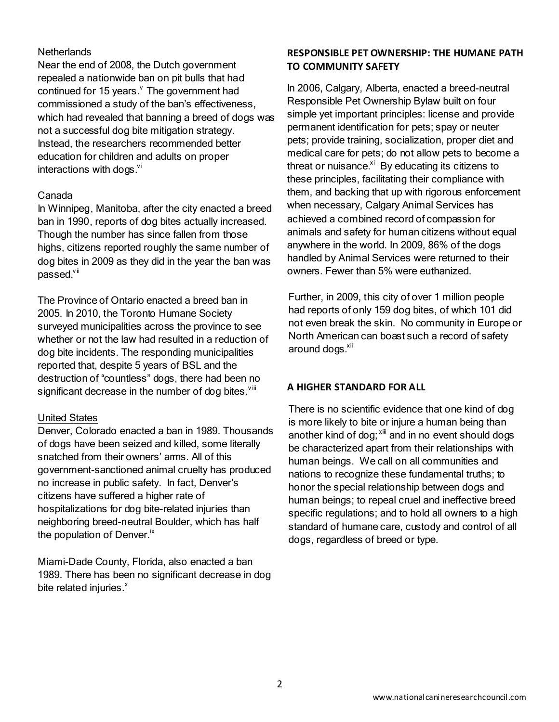#### **Netherlands**

Near the end of 2008, the Dutch government repealed a nationwide ban on pit bulls that had continued for 15 years. The government had commissioned a study of the ban's effectiveness, which had revealed that banning a breed of dogs was not a successful dog bite mitigation strategy. Instead, the researchers recommended better education for children and adults on proper interactions with dogs. $\frac{v}{x}$ 

#### Canada

In Winnipeg, Manitoba, after the city enacted a breed ban in 1990, reports of dog bites actually increased. Though the number has since fallen from those highs, citizens reported roughly the same number of dog bites in 2009 as they did in the year the ban was  $passed.$ <sup>vii</sup>

The Province of Ontario enacted a breed ban in 2005. In 2010, the Toronto Humane Society surveyed municipalities across the province to see whether or not the law had resulted in a reduction of dog bite incidents. The responding municipalities reported that, despite 5 years of BSL and the destruction of "countless" dogs, there had been no significant decrease in the number of dog bites. $v^{\text{ini}}$ 

## United States

Denver, Colorado enacted a ban in 1989. Thousands of dogs have been seized and killed, some literally snatched from their owners' arms. All of this government-sanctioned animal cruelty has produced no increase in public safety. In fact, Denver's citizens have suffered a higher rate of hospitalizations for dog bite-related injuries than neighboring breed-neutral Boulder, which has half the population of Denver. $\kappa$ 

Miami-Dade County, Florida, also enacted a ban 1989. There has been no significant decrease in dog bite related injuries. $x$ 

# **RESPONSIBLE PET OWNERSHIP: THE HUMANE PATH TO COMMUNITY SAFETY**

In 2006, Calgary, Alberta, enacted a breed-neutral Responsible Pet Ownership Bylaw built on four simple yet important principles: license and provide permanent identification for pets; spay or neuter pets; provide training, socialization, proper diet and medical care for pets; do not allow pets to become a threat or nuisance. Xi By educating its citizens to these principles, facilitating their compliance with them, and backing that up with rigorous enforcement when necessary, Calgary Animal Services has achieved a combined record of compassion for animals and safety for human citizens without equal anywhere in the world. In 2009, 86% of the dogs handled by Animal Services were returned to their owners. Fewer than 5% were euthanized.

Further, in 2009, this city of over 1 million people had reports of only 159 dog bites, of which 101 did not even break the skin. No community in Europe or North American can boast such a record of safety around dogs.<sup>xii</sup>

## **A HIGHER STANDARD FOR ALL**

There is no scientific evidence that one kind of dog is more likely to bite or injure a human being than another kind of dog;  $x^{\text{iii}}$  and in no event should dogs be characterized apart from their relationships with human beings. We call on all communities and nations to recognize these fundamental truths; to honor the special relationship between dogs and human beings; to repeal cruel and ineffective breed specific regulations; and to hold all owners to a high standard of humane care, custody and control of all dogs, regardless of breed or type.